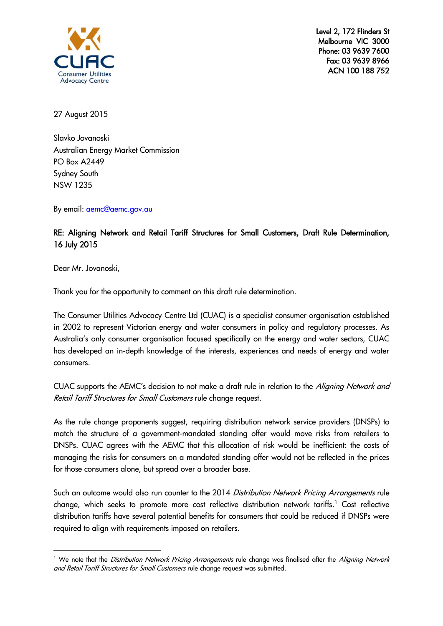

Level 2, 172 Flinders St Melbourne VIC 3000 Phone: 03 9639 7600 Fax: 03 9639 8966 ACN 100 188 752

27 August 2015

Slavko Jovanoski Australian Energy Market Commission PO Box A2449 Sydney South NSW 1235

By email: [aemc@aemc.gov.au](mailto:aemc@aemc.gov.au)

## RE: Aligning Network and Retail Tariff Structures for Small Customers, Draft Rule Determination, 16 July 2015

Dear Mr. Jovanoski,

-

Thank you for the opportunity to comment on this draft rule determination.

The Consumer Utilities Advocacy Centre Ltd (CUAC) is a specialist consumer organisation established in 2002 to represent Victorian energy and water consumers in policy and regulatory processes. As Australia's only consumer organisation focused specifically on the energy and water sectors, CUAC has developed an in-depth knowledge of the interests, experiences and needs of energy and water consumers.

CUAC supports the AEMC's decision to not make a draft rule in relation to the Aligning Network and Retail Tariff Structures for Small Customers rule change request.

As the rule change proponents suggest, requiring distribution network service providers (DNSPs) to match the structure of a government-mandated standing offer would move risks from retailers to DNSPs. CUAC agrees with the AEMC that this allocation of risk would be inefficient: the costs of managing the risks for consumers on a mandated standing offer would not be reflected in the prices for those consumers alone, but spread over a broader base.

Such an outcome would also run counter to the 2014 Distribution Network Pricing Arrangements rule change, which seeks to promote more cost reflective distribution network tariffs.<sup>1</sup> Cost reflective distribution tariffs have several potential benefits for consumers that could be reduced if DNSPs were required to align with requirements imposed on retailers.

<sup>&</sup>lt;sup>1</sup> We note that the *Distribution Network Pricing Arrangements* rule change was finalised after the *Aligning Network* and Retail Tariff Structures for Small Customers rule change request was submitted.